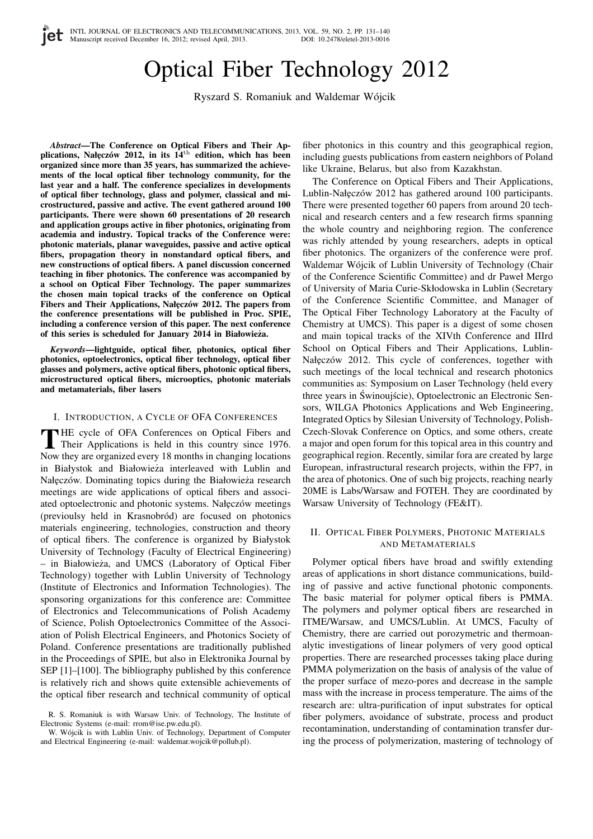# Optical Fiber Technology 2012

Ryszard S. Romaniuk and Waldemar Wójcik

*Abstract***—The Conference on Optical Fibers and Their Ap**plications, Nałęczów 2012, in its 14<sup>th</sup> edition, which has been **organized since more than 35 years, has summarized the achievements of the local optical fiber technology community, for the last year and a half. The conference specializes in developments of optical fiber technology, glass and polymer, classical and microstructured, passive and active. The event gathered around 100 participants. There were shown 60 presentations of 20 research and application groups active in fiber photonics, originating from academia and industry. Topical tracks of the Conference were: photonic materials, planar waveguides, passive and active optical fibers, propagation theory in nonstandard optical fibers, and new constructions of optical fibers. A panel discussion concerned teaching in fiber photonics. The conference was accompanied by a school on Optical Fiber Technology. The paper summarizes the chosen main topical tracks of the conference on Optical** Fibers and Their Applications, Nałęczów 2012. The papers from **the conference presentations will be published in Proc. SPIE, including a conference version of this paper. The next conference of this series is scheduled for January 2014 in Białowieza. ˙**

*Keywords***—lightguide, optical fiber, photonics, optical fiber photonics, optoelectronics, optical fiber technology, optical fiber glasses and polymers, active optical fibers, photonic optical fibers, microstructured optical fibers, microoptics, photonic materials and metamaterials, fiber lasers**

#### I. INTRODUCTION, A CYCLE OF OFA CONFERENCES

**THE cycle of OFA Conferences on Optical Fibers and Their Applications is held in this country since 1976.<br>Now they are organized every 18 months in changing locations THE cycle of OFA Conferences on Optical Fibers and** Their Applications is held in this country since 1976. in Białystok and Białowieża interleaved with Lublin and Nałęczów. Dominating topics during the Białowieża research meetings are wide applications of optical fibers and associated optoelectronic and photonic systems. Nałęczów meetings (previoulsy held in Krasnobród) are focused on photonics materials engineering, technologies, construction and theory of optical fibers. The conference is organized by Białystok University of Technology (Faculty of Electrical Engineering) – in Białowieza, and UMCS (Laboratory of Optical Fiber ˙ Technology) together with Lublin University of Technology (Institute of Electronics and Information Technologies). The sponsoring organizations for this conference are: Committee of Electronics and Telecommunications of Polish Academy of Science, Polish Optoelectronics Committee of the Association of Polish Electrical Engineers, and Photonics Society of Poland. Conference presentations are traditionally published in the Proceedings of SPIE, but also in Elektronika Journal by SEP [1]–[100]. The bibliography published by this conference is relatively rich and shows quite extensible achievements of the optical fiber research and technical community of optical

fiber photonics in this country and this geographical region, including guests publications from eastern neighbors of Poland like Ukraine, Belarus, but also from Kazakhstan.

The Conference on Optical Fibers and Their Applications, Lublin-Nałęczów 2012 has gathered around 100 participants. There were presented together 60 papers from around 20 technical and research centers and a few research firms spanning the whole country and neighboring region. The conference was richly attended by young researchers, adepts in optical fiber photonics. The organizers of the conference were prof. Waldemar Wójcik of Lublin University of Technology (Chair of the Conference Scientific Committee) and dr Paweł Mergo of University of Maria Curie-Skłodowska in Lublin (Secretary of the Conference Scientific Committee, and Manager of The Optical Fiber Technology Laboratory at the Faculty of Chemistry at UMCS). This paper is a digest of some chosen and main topical tracks of the XIVth Conference and IIIrd School on Optical Fibers and Their Applications, Lublin-Nałęczów 2012. This cycle of conferences, together with such meetings of the local technical and research photonics communities as: Symposium on Laser Technology (held every three years in Swinoujście), Optoelectronic an Electronic Sensors, WILGA Photonics Applications and Web Engineering, Integrated Optics by Silesian University of Technology, Polish-Czech-Slovak Conference on Optics, and some others, create a major and open forum for this topical area in this country and geographical region. Recently, similar fora are created by large European, infrastructural research projects, within the FP7, in the area of photonics. One of such big projects, reaching nearly 20ME is Labs/Warsaw and FOTEH. They are coordinated by Warsaw University of Technology (FE&IT).

### II. OPTICAL FIBER POLYMERS, PHOTONIC MATERIALS AND METAMATERIALS

Polymer optical fibers have broad and swiftly extending areas of applications in short distance communications, building of passive and active functional photonic components. The basic material for polymer optical fibers is PMMA. The polymers and polymer optical fibers are researched in ITME/Warsaw, and UMCS/Lublin. At UMCS, Faculty of Chemistry, there are carried out porozymetric and thermoanalytic investigations of linear polymers of very good optical properties. There are researched processes taking place during PMMA polymerization on the basis of analysis of the value of the proper surface of mezo-pores and decrease in the sample mass with the increase in process temperature. The aims of the research are: ultra-purification of input substrates for optical fiber polymers, avoidance of substrate, process and product recontamination, understanding of contamination transfer during the process of polymerization, mastering of technology of

R. S. Romaniuk is with Warsaw Univ. of Technology, The Institute of Electronic Systems (e-mail: rrom@ise.pw.edu.pl).

W. Wójcik is with Lublin Univ. of Technology, Department of Computer and Electrical Engineering (e-mail: waldemar.wojcik@pollub.pl).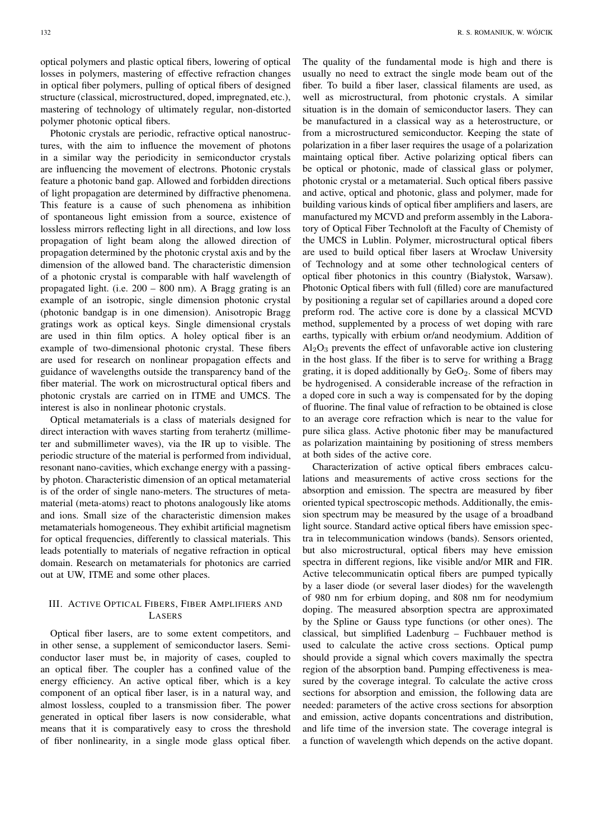optical polymers and plastic optical fibers, lowering of optical losses in polymers, mastering of effective refraction changes in optical fiber polymers, pulling of optical fibers of designed structure (classical, microstructured, doped, impregnated, etc.), mastering of technology of ultimately regular, non-distorted polymer photonic optical fibers.

Photonic crystals are periodic, refractive optical nanostructures, with the aim to influence the movement of photons in a similar way the periodicity in semiconductor crystals are influencing the movement of electrons. Photonic crystals feature a photonic band gap. Allowed and forbidden directions of light propagation are determined by diffractive phenomena. This feature is a cause of such phenomena as inhibition of spontaneous light emission from a source, existence of lossless mirrors reflecting light in all directions, and low loss propagation of light beam along the allowed direction of propagation determined by the photonic crystal axis and by the dimension of the allowed band. The characteristic dimension of a photonic crystal is comparable with half wavelength of propagated light. (i.e. 200 – 800 nm). A Bragg grating is an example of an isotropic, single dimension photonic crystal (photonic bandgap is in one dimension). Anisotropic Bragg gratings work as optical keys. Single dimensional crystals are used in thin film optics. A holey optical fiber is an example of two-dimensional photonic crystal. These fibers are used for research on nonlinear propagation effects and guidance of wavelengths outside the transparency band of the fiber material. The work on microstructural optical fibers and photonic crystals are carried on in ITME and UMCS. The interest is also in nonlinear photonic crystals.

Optical metamaterials is a class of materials designed for direct interaction with waves starting from terahertz (millimeter and submillimeter waves), via the IR up to visible. The periodic structure of the material is performed from individual, resonant nano-cavities, which exchange energy with a passingby photon. Characteristic dimension of an optical metamaterial is of the order of single nano-meters. The structures of metamaterial (meta-atoms) react to photons analogously like atoms and ions. Small size of the characteristic dimension makes metamaterials homogeneous. They exhibit artificial magnetism for optical frequencies, differently to classical materials. This leads potentially to materials of negative refraction in optical domain. Research on metamaterials for photonics are carried out at UW, ITME and some other places.

## III. ACTIVE OPTICAL FIBERS, FIBER AMPLIFIERS AND LASERS

Optical fiber lasers, are to some extent competitors, and in other sense, a supplement of semiconductor lasers. Semiconductor laser must be, in majority of cases, coupled to an optical fiber. The coupler has a confined value of the energy efficiency. An active optical fiber, which is a key component of an optical fiber laser, is in a natural way, and almost lossless, coupled to a transmission fiber. The power generated in optical fiber lasers is now considerable, what means that it is comparatively easy to cross the threshold of fiber nonlinearity, in a single mode glass optical fiber.

The quality of the fundamental mode is high and there is usually no need to extract the single mode beam out of the fiber. To build a fiber laser, classical filaments are used, as well as microstructural, from photonic crystals. A similar situation is in the domain of semiconductor lasers. They can be manufactured in a classical way as a heterostructure, or from a microstructured semiconductor. Keeping the state of polarization in a fiber laser requires the usage of a polarization maintaing optical fiber. Active polarizing optical fibers can be optical or photonic, made of classical glass or polymer, photonic crystal or a metamaterial. Such optical fibers passive and active, optical and photonic, glass and polymer, made for building various kinds of optical fiber amplifiers and lasers, are manufactured my MCVD and preform assembly in the Laboratory of Optical Fiber Technoloft at the Faculty of Chemisty of the UMCS in Lublin. Polymer, microstructural optical fibers are used to build optical fiber lasers at Wrocław University of Technology and at some other technological centers of optical fiber photonics in this country (Białystok, Warsaw). Photonic Optical fibers with full (filled) core are manufactured by positioning a regular set of capillaries around a doped core preform rod. The active core is done by a classical MCVD method, supplemented by a process of wet doping with rare earths, typically with erbium or/and neodymium. Addition of  $Al<sub>2</sub>O<sub>3</sub>$  prevents the effect of unfavorable active ion clustering in the host glass. If the fiber is to serve for writhing a Bragg grating, it is doped additionally by  $GeO<sub>2</sub>$ . Some of fibers may be hydrogenised. A considerable increase of the refraction in a doped core in such a way is compensated for by the doping of fluorine. The final value of refraction to be obtained is close to an average core refraction which is near to the value for pure silica glass. Active photonic fiber may be manufactured as polarization maintaining by positioning of stress members at both sides of the active core.

Characterization of active optical fibers embraces calculations and measurements of active cross sections for the absorption and emission. The spectra are measured by fiber oriented typical spectroscopic methods. Additionally, the emission spectrum may be measured by the usage of a broadband light source. Standard active optical fibers have emission spectra in telecommunication windows (bands). Sensors oriented, but also microstructural, optical fibers may heve emission spectra in different regions, like visible and/or MIR and FIR. Active telecommunicatin optical fibers are pumped typically by a laser diode (or several laser diodes) for the wavelength of 980 nm for erbium doping, and 808 nm for neodymium doping. The measured absorption spectra are approximated by the Spline or Gauss type functions (or other ones). The classical, but simplified Ladenburg – Fuchbauer method is used to calculate the active cross sections. Optical pump should provide a signal which covers maximally the spectra region of the absorption band. Pumping effectiveness is measured by the coverage integral. To calculate the active cross sections for absorption and emission, the following data are needed: parameters of the active cross sections for absorption and emission, active dopants concentrations and distribution, and life time of the inversion state. The coverage integral is a function of wavelength which depends on the active dopant.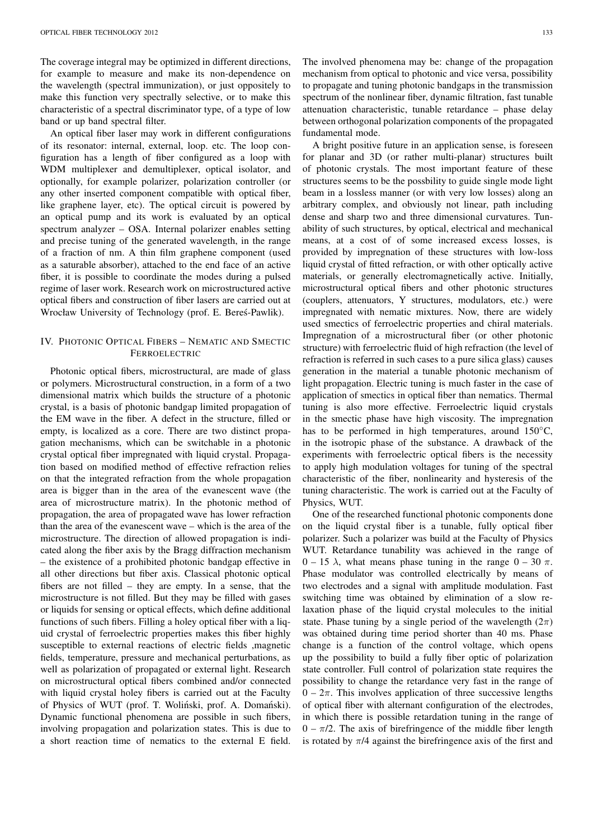The coverage integral may be optimized in different directions, for example to measure and make its non-dependence on the wavelength (spectral immunization), or just oppositely to make this function very spectrally selective, or to make this characteristic of a spectral discriminator type, of a type of low band or up band spectral filter.

An optical fiber laser may work in different configurations of its resonator: internal, external, loop. etc. The loop configuration has a length of fiber configured as a loop with WDM multiplexer and demultiplexer, optical isolator, and optionally, for example polarizer, polarization controller (or any other inserted component compatible with optical fiber, like graphene layer, etc). The optical circuit is powered by an optical pump and its work is evaluated by an optical spectrum analyzer – OSA. Internal polarizer enables setting and precise tuning of the generated wavelength, in the range of a fraction of nm. A thin film graphene component (used as a saturable absorber), attached to the end face of an active fiber, it is possible to coordinate the modes during a pulsed regime of laser work. Research work on microstructured active optical fibers and construction of fiber lasers are carried out at Wrocław University of Technology (prof. E. Beres-Pawlik). ´

# IV. PHOTONIC OPTICAL FIBERS – NEMATIC AND SMECTIC FERROELECTRIC

Photonic optical fibers, microstructural, are made of glass or polymers. Microstructural construction, in a form of a two dimensional matrix which builds the structure of a photonic crystal, is a basis of photonic bandgap limited propagation of the EM wave in the fiber. A defect in the structure, filled or empty, is localized as a core. There are two distinct propagation mechanisms, which can be switchable in a photonic crystal optical fiber impregnated with liquid crystal. Propagation based on modified method of effective refraction relies on that the integrated refraction from the whole propagation area is bigger than in the area of the evanescent wave (the area of microstructure matrix). In the photonic method of propagation, the area of propagated wave has lower refraction than the area of the evanescent wave – which is the area of the microstructure. The direction of allowed propagation is indicated along the fiber axis by the Bragg diffraction mechanism – the existence of a prohibited photonic bandgap effective in all other directions but fiber axis. Classical photonic optical fibers are not filled – they are empty. In a sense, that the microstructure is not filled. But they may be filled with gases or liquids for sensing or optical effects, which define additional functions of such fibers. Filling a holey optical fiber with a liquid crystal of ferroelectric properties makes this fiber highly susceptible to external reactions of electric fields ,magnetic fields, temperature, pressure and mechanical perturbations, as well as polarization of propagated or external light. Research on microstructural optical fibers combined and/or connected with liquid crystal holey fibers is carried out at the Faculty of Physics of WUT (prof. T. Woliński, prof. A. Domański). Dynamic functional phenomena are possible in such fibers, involving propagation and polarization states. This is due to a short reaction time of nematics to the external E field.

The involved phenomena may be: change of the propagation mechanism from optical to photonic and vice versa, possibility to propagate and tuning photonic bandgaps in the transmission spectrum of the nonlinear fiber, dynamic filtration, fast tunable attenuation characteristic, tunable retardance – phase delay between orthogonal polarization components of the propagated fundamental mode.

A bright positive future in an application sense, is foreseen for planar and 3D (or rather multi-planar) structures built of photonic crystals. The most important feature of these structures seems to be the possbility to guide single mode light beam in a lossless manner (or with very low losses) along an arbitrary complex, and obviously not linear, path including dense and sharp two and three dimensional curvatures. Tunability of such structures, by optical, electrical and mechanical means, at a cost of of some increased excess losses, is provided by impregnation of these structures with low-loss liquid crystal of fitted refraction, or with other optically active materials, or generally electromagnetically active. Initially, microstructural optical fibers and other photonic structures (couplers, attenuators, Y structures, modulators, etc.) were impregnated with nematic mixtures. Now, there are widely used smectics of ferroelectric properties and chiral materials. Impregnation of a microstructural fiber (or other photonic structure) with ferroelectric fluid of high refraction (the level of refraction is referred in such cases to a pure silica glass) causes generation in the material a tunable photonic mechanism of light propagation. Electric tuning is much faster in the case of application of smectics in optical fiber than nematics. Thermal tuning is also more effective. Ferroelectric liquid crystals in the smectic phase have high viscosity. The impregnation has to be performed in high temperatures, around  $150^{\circ}$ C, in the isotropic phase of the substance. A drawback of the experiments with ferroelectric optical fibers is the necessity to apply high modulation voltages for tuning of the spectral characteristic of the fiber, nonlinearity and hysteresis of the tuning characteristic. The work is carried out at the Faculty of Physics, WUT.

One of the researched functional photonic components done on the liquid crystal fiber is a tunable, fully optical fiber polarizer. Such a polarizer was build at the Faculty of Physics WUT. Retardance tunability was achieved in the range of  $0 - 15 \lambda$ , what means phase tuning in the range  $0 - 30 \pi$ . Phase modulator was controlled electrically by means of two electrodes and a signal with amplitude modulation. Fast switching time was obtained by elimination of a slow relaxation phase of the liquid crystal molecules to the initial state. Phase tuning by a single period of the wavelength  $(2\pi)$ was obtained during time period shorter than 40 ms. Phase change is a function of the control voltage, which opens up the possibility to build a fully fiber optic of polarization state controller. Full control of polarization state requires the possibility to change the retardance very fast in the range of  $0 - 2\pi$ . This involves application of three successive lengths of optical fiber with alternant configuration of the electrodes, in which there is possible retardation tuning in the range of  $0 - \pi/2$ . The axis of birefringence of the middle fiber length is rotated by  $\pi/4$  against the birefringence axis of the first and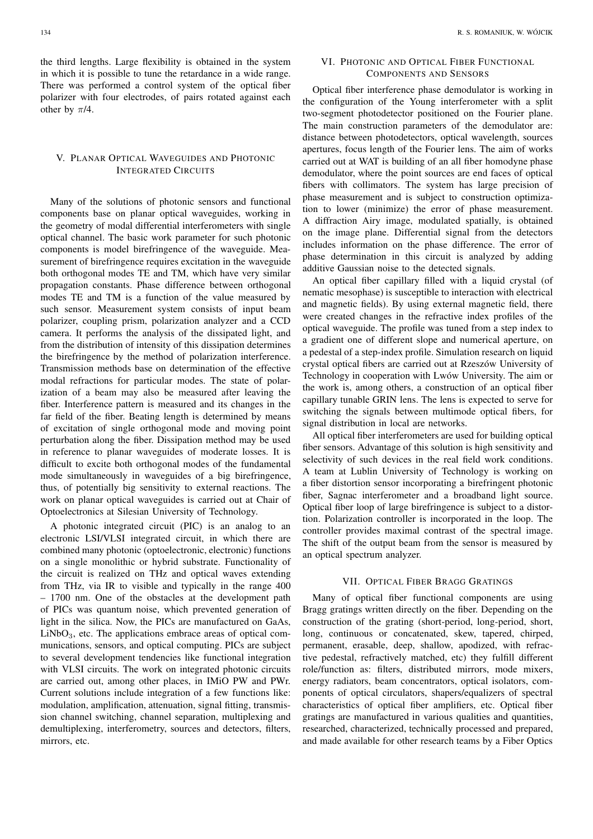the third lengths. Large flexibility is obtained in the system in which it is possible to tune the retardance in a wide range. There was performed a control system of the optical fiber polarizer with four electrodes, of pairs rotated against each other by  $\pi/4$ .

# V. PLANAR OPTICAL WAVEGUIDES AND PHOTONIC INTEGRATED CIRCUITS

Many of the solutions of photonic sensors and functional components base on planar optical waveguides, working in the geometry of modal differential interferometers with single optical channel. The basic work parameter for such photonic components is model birefringence of the waveguide. Measurement of birefringence requires excitation in the waveguide both orthogonal modes TE and TM, which have very similar propagation constants. Phase difference between orthogonal modes TE and TM is a function of the value measured by such sensor. Measurement system consists of input beam polarizer, coupling prism, polarization analyzer and a CCD camera. It performs the analysis of the dissipated light, and from the distribution of intensity of this dissipation determines the birefringence by the method of polarization interference. Transmission methods base on determination of the effective modal refractions for particular modes. The state of polarization of a beam may also be measured after leaving the fiber. Interference pattern is measured and its changes in the far field of the fiber. Beating length is determined by means of excitation of single orthogonal mode and moving point perturbation along the fiber. Dissipation method may be used in reference to planar waveguides of moderate losses. It is difficult to excite both orthogonal modes of the fundamental mode simultaneously in waveguides of a big birefringence, thus, of potentially big sensitivity to external reactions. The work on planar optical waveguides is carried out at Chair of Optoelectronics at Silesian University of Technology.

A photonic integrated circuit (PIC) is an analog to an electronic LSI/VLSI integrated circuit, in which there are combined many photonic (optoelectronic, electronic) functions on a single monolithic or hybrid substrate. Functionality of the circuit is realized on THz and optical waves extending from THz, via IR to visible and typically in the range 400 – 1700 nm. One of the obstacles at the development path of PICs was quantum noise, which prevented generation of light in the silica. Now, the PICs are manufactured on GaAs,  $LiNbO<sub>3</sub>$ , etc. The applications embrace areas of optical communications, sensors, and optical computing. PICs are subject to several development tendencies like functional integration with VLSI circuits. The work on integrated photonic circuits are carried out, among other places, in IMiO PW and PWr. Current solutions include integration of a few functions like: modulation, amplification, attenuation, signal fitting, transmission channel switching, channel separation, multiplexing and demultiplexing, interferometry, sources and detectors, filters, mirrors, etc.

# VI. PHOTONIC AND OPTICAL FIBER FUNCTIONAL COMPONENTS AND SENSORS

Optical fiber interference phase demodulator is working in the configuration of the Young interferometer with a split two-segment photodetector positioned on the Fourier plane. The main construction parameters of the demodulator are: distance between photodetectors, optical wavelength, sources apertures, focus length of the Fourier lens. The aim of works carried out at WAT is building of an all fiber homodyne phase demodulator, where the point sources are end faces of optical fibers with collimators. The system has large precision of phase measurement and is subject to construction optimization to lower (minimize) the error of phase measurement. A diffraction Airy image, modulated spatially, is obtained on the image plane. Differential signal from the detectors includes information on the phase difference. The error of phase determination in this circuit is analyzed by adding additive Gaussian noise to the detected signals.

An optical fiber capillary filled with a liquid crystal (of nematic mesophase) is susceptible to interaction with electrical and magnetic fields). By using external magnetic field, there were created changes in the refractive index profiles of the optical waveguide. The profile was tuned from a step index to a gradient one of different slope and numerical aperture, on a pedestal of a step-index profile. Simulation research on liquid crystal optical fibers are carried out at Rzeszów University of Technology in cooperation with Lwów University. The aim or the work is, among others, a construction of an optical fiber capillary tunable GRIN lens. The lens is expected to serve for switching the signals between multimode optical fibers, for signal distribution in local are networks.

All optical fiber interferometers are used for building optical fiber sensors. Advantage of this solution is high sensitivity and selectivity of such devices in the real field work conditions. A team at Lublin University of Technology is working on a fiber distortion sensor incorporating a birefringent photonic fiber, Sagnac interferometer and a broadband light source. Optical fiber loop of large birefringence is subject to a distortion. Polarization controller is incorporated in the loop. The controller provides maximal contrast of the spectral image. The shift of the output beam from the sensor is measured by an optical spectrum analyzer.

# VII. OPTICAL FIBER BRAGG GRATINGS

Many of optical fiber functional components are using Bragg gratings written directly on the fiber. Depending on the construction of the grating (short-period, long-period, short, long, continuous or concatenated, skew, tapered, chirped, permanent, erasable, deep, shallow, apodized, with refractive pedestal, refractively matched, etc) they fulfill different role/function as: filters, distributed mirrors, mode mixers, energy radiators, beam concentrators, optical isolators, components of optical circulators, shapers/equalizers of spectral characteristics of optical fiber amplifiers, etc. Optical fiber gratings are manufactured in various qualities and quantities, researched, characterized, technically processed and prepared, and made available for other research teams by a Fiber Optics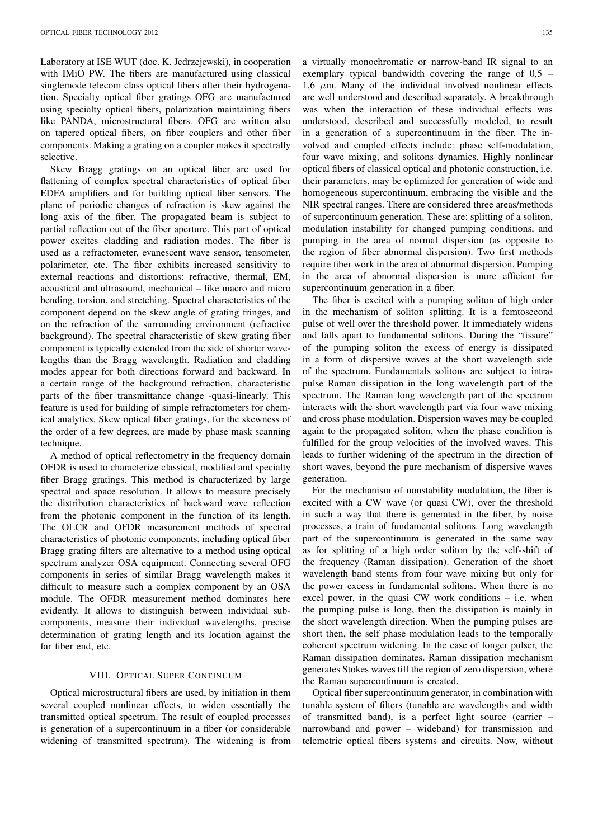Laboratory at ISE WUT (doc. K. Jedrzejewski), in cooperation with IMiO PW. The fibers are manufactured using classical singlemode telecom class optical fibers after their hydrogenation. Specialty optical fiber gratings OFG are manufactured using specialty optical fibers, polarization maintaining fibers like PANDA, microstructural fibers. OFG are written also on tapered optical fibers, on fiber couplers and other fiber components. Making a grating on a coupler makes it spectrally selective.

Skew Bragg gratings on an optical fiber are used for flattening of complex spectral characteristics of optical fiber EDFA amplifiers and for building optical fiber sensors. The plane of periodic changes of refraction is skew against the long axis of the fiber. The propagated beam is subject to partial reflection out of the fiber aperture. This part of optical power excites cladding and radiation modes. The fiber is used as a refractometer, evanescent wave sensor, tensometer, polarimeter, etc. The fiber exhibits increased sensitivity to external reactions and distortions: refractive, thermal, EM, acoustical and ultrasound, mechanical – like macro and micro bending, torsion, and stretching. Spectral characteristics of the component depend on the skew angle of grating fringes, and on the refraction of the surrounding environment (refractive background). The spectral characteristic of skew grating fiber component is typically extended from the side of shorter wavelengths than the Bragg wavelength. Radiation and cladding modes appear for both directions forward and backward. In a certain range of the background refraction, characteristic parts of the fiber transmittance change -quasi-linearly. This feature is used for building of simple refractometers for chemical analytics. Skew optical fiber gratings, for the skewness of the order of a few degrees, are made by phase mask scanning technique.

A method of optical reflectometry in the frequency domain OFDR is used to characterize classical, modified and specialty fiber Bragg gratings. This method is characterized by large spectral and space resolution. It allows to measure precisely the distribution characteristics of backward wave reflection from the photonic component in the function of its length. The OLCR and OFDR measurement methods of spectral characteristics of photonic components, including optical fiber Bragg grating filters are alternative to a method using optical spectrum analyzer OSA equipment. Connecting several OFG components in series of similar Bragg wavelength makes it difficult to measure such a complex component by an OSA module. The OFDR measurement method dominates here evidently. It allows to distinguish between individual subcomponents, measure their individual wavelengths, precise determination of grating length and its location against the far fiber end, etc.

### VIII. OPTICAL SUPER CONTINUUM

Optical microstructural fibers are used, by initiation in them several coupled nonlinear effects, to widen essentially the transmitted optical spectrum. The result of coupled processes is generation of a supercontinuum in a fiber (or considerable widening of transmitted spectrum). The widening is from a virtually monochromatic or narrow-band IR signal to an exemplary typical bandwidth covering the range of 0,5 – 1,6  $\mu$ m. Many of the individual involved nonlinear effects are well understood and described separately. A breakthrough was when the interaction of these individual effects was understood, described and successfully modeled, to result in a generation of a supercontinuum in the fiber. The involved and coupled effects include: phase self-modulation, four wave mixing, and solitons dynamics. Highly nonlinear optical fibers of classical optical and photonic construction, i.e. their parameters, may be optimized for generation of wide and homogeneous supercontinuum, embracing the visible and the NIR spectral ranges. There are considered three areas/methods of supercontinuum generation. These are: splitting of a soliton, modulation instability for changed pumping conditions, and pumping in the area of normal dispersion (as opposite to the region of fiber abnormal dispersion). Two first methods require fiber work in the area of abnormal dispersion. Pumping in the area of abnormal dispersion is more efficient for supercontinuum generation in a fiber.

The fiber is excited with a pumping soliton of high order in the mechanism of soliton splitting. It is a femtosecond pulse of well over the threshold power. It immediately widens and falls apart to fundamental solitons. During the "fissure" of the pumping soliton the excess of energy is dissipated in a form of dispersive waves at the short wavelength side of the spectrum. Fundamentals solitons are subject to intrapulse Raman dissipation in the long wavelength part of the spectrum. The Raman long wavelength part of the spectrum interacts with the short wavelength part via four wave mixing and cross phase modulation. Dispersion waves may be coupled again to the propagated soliton, when the phase condition is fulfilled for the group velocities of the involved waves. This leads to further widening of the spectrum in the direction of short waves, beyond the pure mechanism of dispersive waves generation.

For the mechanism of nonstability modulation, the fiber is excited with a CW wave (or quasi CW), over the threshold in such a way that there is generated in the fiber, by noise processes, a train of fundamental solitons. Long wavelength part of the supercontinuum is generated in the same way as for splitting of a high order soliton by the self-shift of the frequency (Raman dissipation). Generation of the short wavelength band stems from four wave mixing but only for the power excess in fundamental solitons. When there is no excel power, in the quasi  $CW$  work conditions  $-$  i.e. when the pumping pulse is long, then the dissipation is mainly in the short wavelength direction. When the pumping pulses are short then, the self phase modulation leads to the temporally coherent spectrum widening. In the case of longer pulser, the Raman dissipation dominates. Raman dissipation mechanism generates Stokes waves till the region of zero dispersion, where the Raman supercontinuum is created.

Optical fiber supercontinuum generator, in combination with tunable system of filters (tunable are wavelengths and width of transmitted band), is a perfect light source (carrier – narrowband and power – wideband) for transmission and telemetric optical fibers systems and circuits. Now, without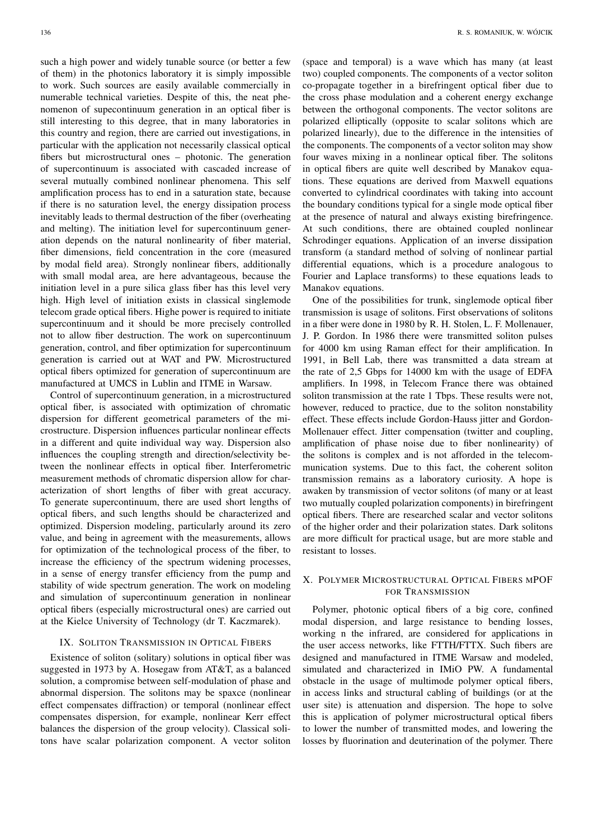such a high power and widely tunable source (or better a few of them) in the photonics laboratory it is simply impossible to work. Such sources are easily available commercially in numerable technical varieties. Despite of this, the neat phenomenon of supecontinuum generation in an optical fiber is still interesting to this degree, that in many laboratories in this country and region, there are carried out investigations, in particular with the application not necessarily classical optical fibers but microstructural ones – photonic. The generation of supercontinuum is associated with cascaded increase of several mutually combined nonlinear phenomena. This self amplification process has to end in a saturation state, because if there is no saturation level, the energy dissipation process inevitably leads to thermal destruction of the fiber (overheating and melting). The initiation level for supercontinuum generation depends on the natural nonlinearity of fiber material, fiber dimensions, field concentration in the core (measured by modal field area). Strongly nonlinear fibers, additionally with small modal area, are here advantageous, because the initiation level in a pure silica glass fiber has this level very high. High level of initiation exists in classical singlemode telecom grade optical fibers. Highe power is required to initiate supercontinuum and it should be more precisely controlled not to allow fiber destruction. The work on supercontinuum generation, control, and fiber optimization for supercontinuum generation is carried out at WAT and PW. Microstructured optical fibers optimized for generation of supercontinuum are manufactured at UMCS in Lublin and ITME in Warsaw.

Control of supercontinuum generation, in a microstructured optical fiber, is associated with optimization of chromatic dispersion for different geometrical parameters of the microstructure. Dispersion influences particular nonlinear effects in a different and quite individual way way. Dispersion also influences the coupling strength and direction/selectivity between the nonlinear effects in optical fiber. Interferometric measurement methods of chromatic dispersion allow for characterization of short lengths of fiber with great accuracy. To generate supercontinuum, there are used short lengths of optical fibers, and such lengths should be characterized and optimized. Dispersion modeling, particularly around its zero value, and being in agreement with the measurements, allows for optimization of the technological process of the fiber, to increase the efficiency of the spectrum widening processes, in a sense of energy transfer efficiency from the pump and stability of wide spectrum generation. The work on modeling and simulation of supercontinuum generation in nonlinear optical fibers (especially microstructural ones) are carried out at the Kielce University of Technology (dr T. Kaczmarek).

#### IX. SOLITON TRANSMISSION IN OPTICAL FIBERS

Existence of soliton (solitary) solutions in optical fiber was suggested in 1973 by A. Hosegaw from AT&T, as a balanced solution, a compromise between self-modulation of phase and abnormal dispersion. The solitons may be spaxce (nonlinear effect compensates diffraction) or temporal (nonlinear effect compensates dispersion, for example, nonlinear Kerr effect balances the dispersion of the group velocity). Classical solitons have scalar polarization component. A vector soliton

(space and temporal) is a wave which has many (at least two) coupled components. The components of a vector soliton co-propagate together in a birefringent optical fiber due to the cross phase modulation and a coherent energy exchange between the orthogonal components. The vector solitons are polarized elliptically (opposite to scalar solitons which are polarized linearly), due to the difference in the intensities of the components. The components of a vector soliton may show four waves mixing in a nonlinear optical fiber. The solitons in optical fibers are quite well described by Manakov equations. These equations are derived from Maxwell equations converted to cylindrical coordinates with taking into account the boundary conditions typical for a single mode optical fiber at the presence of natural and always existing birefringence. At such conditions, there are obtained coupled nonlinear Schrodinger equations. Application of an inverse dissipation transform (a standard method of solving of nonlinear partial differential equations, which is a procedure analogous to Fourier and Laplace transforms) to these equations leads to Manakov equations.

One of the possibilities for trunk, singlemode optical fiber transmission is usage of solitons. First observations of solitons in a fiber were done in 1980 by R. H. Stolen, L. F. Mollenauer, J. P. Gordon. In 1986 there were transmitted soliton pulses for 4000 km using Raman effect for their amplification. In 1991, in Bell Lab, there was transmitted a data stream at the rate of 2,5 Gbps for 14000 km with the usage of EDFA amplifiers. In 1998, in Telecom France there was obtained soliton transmission at the rate 1 Tbps. These results were not, however, reduced to practice, due to the soliton nonstability effect. These effects include Gordon-Hauss jitter and Gordon-Mollenauer effect. Jitter compensation (twitter and coupling, amplification of phase noise due to fiber nonlinearity) of the solitons is complex and is not afforded in the telecommunication systems. Due to this fact, the coherent soliton transmission remains as a laboratory curiosity. A hope is awaken by transmission of vector solitons (of many or at least two mutually coupled polarization components) in birefringent optical fibers. There are researched scalar and vector solitons of the higher order and their polarization states. Dark solitons are more difficult for practical usage, but are more stable and resistant to losses.

## X. POLYMER MICROSTRUCTURAL OPTICAL FIBERS MPOF FOR TRANSMISSION

Polymer, photonic optical fibers of a big core, confined modal dispersion, and large resistance to bending losses, working n the infrared, are considered for applications in the user access networks, like FTTH/FTTX. Such fibers are designed and manufactured in ITME Warsaw and modeled, simulated and characterized in IMiO PW. A fundamental obstacle in the usage of multimode polymer optical fibers, in access links and structural cabling of buildings (or at the user site) is attenuation and dispersion. The hope to solve this is application of polymer microstructural optical fibers to lower the number of transmitted modes, and lowering the losses by fluorination and deuterination of the polymer. There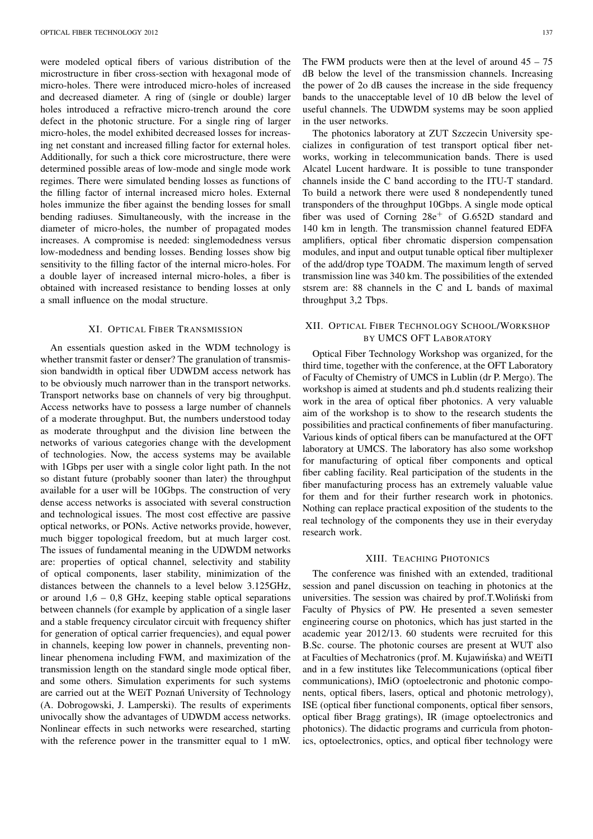were modeled optical fibers of various distribution of the microstructure in fiber cross-section with hexagonal mode of micro-holes. There were introduced micro-holes of increased and decreased diameter. A ring of (single or double) larger holes introduced a refractive micro-trench around the core defect in the photonic structure. For a single ring of larger micro-holes, the model exhibited decreased losses for increasing net constant and increased filling factor for external holes. Additionally, for such a thick core microstructure, there were determined possible areas of low-mode and single mode work regimes. There were simulated bending losses as functions of the filling factor of internal increased micro holes. External holes immunize the fiber against the bending losses for small bending radiuses. Simultaneously, with the increase in the diameter of micro-holes, the number of propagated modes increases. A compromise is needed: singlemodedness versus low-modedness and bending losses. Bending losses show big sensitivity to the filling factor of the internal micro-holes. For a double layer of increased internal micro-holes, a fiber is obtained with increased resistance to bending losses at only a small influence on the modal structure.

#### XI. OPTICAL FIBER TRANSMISSION

An essentials question asked in the WDM technology is whether transmit faster or denser? The granulation of transmission bandwidth in optical fiber UDWDM access network has to be obviously much narrower than in the transport networks. Transport networks base on channels of very big throughput. Access networks have to possess a large number of channels of a moderate throughput. But, the numbers understood today as moderate throughput and the division line between the networks of various categories change with the development of technologies. Now, the access systems may be available with 1Gbps per user with a single color light path. In the not so distant future (probably sooner than later) the throughput available for a user will be 10Gbps. The construction of very dense access networks is associated with several construction and technological issues. The most cost effective are passive optical networks, or PONs. Active networks provide, however, much bigger topological freedom, but at much larger cost. The issues of fundamental meaning in the UDWDM networks are: properties of optical channel, selectivity and stability of optical components, laser stability, minimization of the distances between the channels to a level below 3.125GHz, or around  $1,6 - 0,8$  GHz, keeping stable optical separations between channels (for example by application of a single laser and a stable frequency circulator circuit with frequency shifter for generation of optical carrier frequencies), and equal power in channels, keeping low power in channels, preventing nonlinear phenomena including FWM, and maximization of the transmission length on the standard single mode optical fiber, and some others. Simulation experiments for such systems are carried out at the WEiT Poznań University of Technology (A. Dobrogowski, J. Lamperski). The results of experiments univocally show the advantages of UDWDM access networks. Nonlinear effects in such networks were researched, starting with the reference power in the transmitter equal to 1 mW.

The FWM products were then at the level of around  $45 - 75$ dB below the level of the transmission channels. Increasing the power of 2o dB causes the increase in the side frequency bands to the unacceptable level of 10 dB below the level of useful channels. The UDWDM systems may be soon applied in the user networks.

The photonics laboratory at ZUT Szczecin University specializes in configuration of test transport optical fiber networks, working in telecommunication bands. There is used Alcatel Lucent hardware. It is possible to tune transponder channels inside the C band according to the ITU-T standard. To build a network there were used 8 nondependently tuned transponders of the throughput 10Gbps. A single mode optical fiber was used of Corning  $28e^+$  of G.652D standard and 140 km in length. The transmission channel featured EDFA amplifiers, optical fiber chromatic dispersion compensation modules, and input and output tunable optical fiber multiplexer of the add/drop type TOADM. The maximum length of served transmission line was 340 km. The possibilities of the extended stsrem are: 88 channels in the C and L bands of maximal throughput 3,2 Tbps.

## XII. OPTICAL FIBER TECHNOLOGY SCHOOL/WORKSHOP BY UMCS OFT LABORATORY

Optical Fiber Technology Workshop was organized, for the third time, together with the conference, at the OFT Laboratory of Faculty of Chemistry of UMCS in Lublin (dr P. Mergo). The workshop is aimed at students and ph.d students realizing their work in the area of optical fiber photonics. A very valuable aim of the workshop is to show to the research students the possibilities and practical confinements of fiber manufacturing. Various kinds of optical fibers can be manufactured at the OFT laboratory at UMCS. The laboratory has also some workshop for manufacturing of optical fiber components and optical fiber cabling facility. Real participation of the students in the fiber manufacturing process has an extremely valuable value for them and for their further research work in photonics. Nothing can replace practical exposition of the students to the real technology of the components they use in their everyday research work.

#### XIII. TEACHING PHOTONICS

The conference was finished with an extended, traditional session and panel discussion on teaching in photonics at the universities. The session was chaired by prof.T.Woliński from Faculty of Physics of PW. He presented a seven semester engineering course on photonics, which has just started in the academic year 2012/13. 60 students were recruited for this B.Sc. course. The photonic courses are present at WUT also at Faculties of Mechatronics (prof. M. Kujawińska) and WEiTI and in a few institutes like Telecommunications (optical fiber communications), IMiO (optoelectronic and photonic components, optical fibers, lasers, optical and photonic metrology), ISE (optical fiber functional components, optical fiber sensors, optical fiber Bragg gratings), IR (image optoelectronics and photonics). The didactic programs and curricula from photonics, optoelectronics, optics, and optical fiber technology were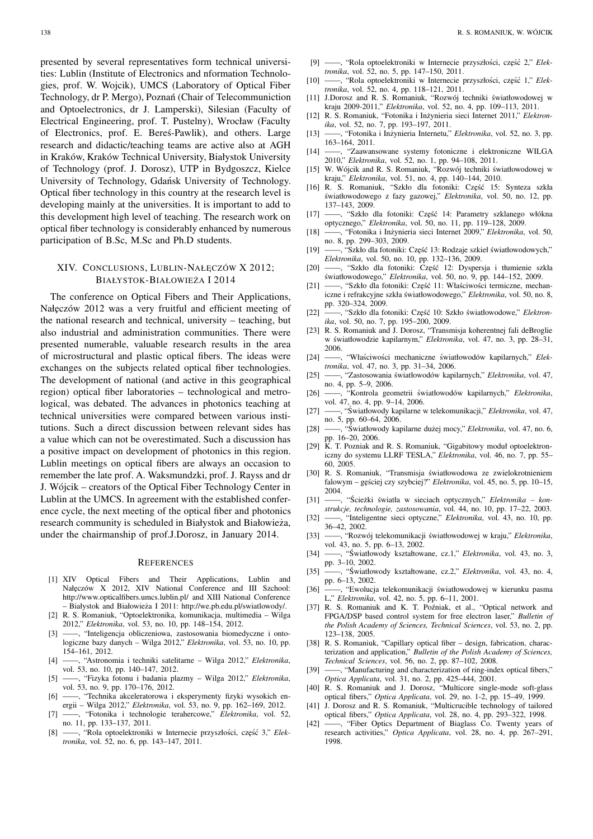presented by several representatives form technical universities: Lublin (Institute of Electronics and nformation Technologies, prof. W. Wojcik), UMCS (Laboratory of Optical Fiber Technology, dr P. Mergo), Poznań (Chair of Telecommuniction and Optoelectronics, dr J. Lamperski), Silesian (Faculty of Electrical Engineering, prof. T. Pustelny), Wrocław (Faculty of Electronics, prof. E. Beres-Pawlik), and others. Large ´ research and didactic/teaching teams are active also at AGH in Kraków, Kraków Technical University, Białystok University of Technology (prof. J. Dorosz), UTP in Bydgoszcz, Kielce University of Technology, Gdańsk University of Technology. Optical fiber technology in this country at the research level is developing mainly at the universities. It is important to add to this development high level of teaching. The research work on optical fiber technology is considerably enhanced by numerous participation of B.Sc, M.Sc and Ph.D students.

## XIV. CONCLUSIONS, LUBLIN-NAŁECZÓW X 2012; BIAŁYSTOK-BIAŁOWIEZA˙ I 2014

The conference on Optical Fibers and Their Applications, Nałęczów 2012 was a very fruitful and efficient meeting of the national research and technical, university – teaching, but also industrial and administration communities. There were presented numerable, valuable research results in the area of microstructural and plastic optical fibers. The ideas were exchanges on the subjects related optical fiber technologies. The development of national (and active in this geographical region) optical fiber laboratories – technological and metrological, was debated. The advances in photonics teaching at technical universities were compared between various institutions. Such a direct discussion between relevant sides has a value which can not be overestimated. Such a discussion has a positive impact on development of photonics in this region. Lublin meetings on optical fibers are always an occasion to remember the late prof. A. Waksmundzki, prof. J. Rayss and dr J. Wójcik – creators of the Optical Fiber Technology Center in Lublin at the UMCS. In agreement with the established conference cycle, the next meeting of the optical fiber and photonics research community is scheduled in Białystok and Białowieża, under the chairmanship of prof.J.Dorosz, in January 2014.

#### **REFERENCES**

- [1] XIV Optical Fibers and Their Applications, Lublin and Nałęczów X 2012, XIV National Conference and III Szchool: http://www.opticalfibers.umcs.lublin.pl/ and XIII National Conference – Białystok and Białowieża I 2011: http://we.pb.edu.pl/swiatlowody/.
- [2] R. S. Romaniuk, "Optoelektronika, komunikacja, multimedia Wilga 2012," *Elektronika*, vol. 53, no. 10, pp. 148–154, 2012.
- [3] ——, "Inteligencja obliczeniowa, zastosowania biomedyczne i ontologiczne bazy danych – Wilga 2012," *Elektronika*, vol. 53, no. 10, pp. 154–161, 2012.
- [4] ——, "Astronomia i techniki satelitarne Wilga 2012," *Elektronika*, vol. 53, no. 10, pp. 140–147, 2012.
- [5] ——, "Fizyka fotonu i badania plazmy Wilga 2012," *Elektronika*, vol. 53, no. 9, pp. 170–176, 2012.
- [6] ——, "Technika akceleratorowa i eksperymenty fizyki wysokich energii – Wilga 2012," *Elektronika*, vol. 53, no. 9, pp. 162–169, 2012.
- [7] ——, "Fotonika i technologie terahercowe," *Elektronika*, vol. 52, no. 11, pp. 133–137, 2011.
- [8] -, "Rola optoelektroniki w Internecie przyszłości, część 3," *Elektronika*, vol. 52, no. 6, pp. 143–147, 2011.
- 138 R. S. ROMANIUK, W. WÓJCIK
	- [9] Rola optoelektroniki w Internecie przyszłości, część 2," Elek*tronika*, vol. 52, no. 5, pp. 147–150, 2011.
	- [10] -, "Rola optoelektroniki w Internecie przyszłości, część 1," *Elektronika*, vol. 52, no. 4, pp. 118–121, 2011.
	- [11] J.Dorosz and R. S. Romaniuk, "Rozwój techniki swiatłowodowej w ´ kraju 2009-2011," *Elektronika*, vol. 52, no. 4, pp. 109–113, 2011.
	- [12] R. S. Romaniuk, "Fotonika i Inżynieria sieci Internet 2011," Elektron*ika*, vol. 52, no. 7, pp. 193–197, 2011.
	- [13] ——, "Fotonika i Inżynieria Internetu," *Elektronika*, vol. 52, no. 3, pp. 163–164, 2011.
	- [14] ——, "Zaawansowane systemy fotoniczne i elektroniczne WILGA 2010," *Elektronika*, vol. 52, no. 1, pp. 94–108, 2011.
	- [15] W. Wójcik and R. S. Romaniuk, "Rozwój techniki światłowodowej w kraju," *Elektronika*, vol. 51, no. 4, pp. 140–144, 2010.
	- [16] R. S. Romaniuk, "Szkło dla fotoniki: Część 15: Synteza szkła światłowodowego z fazy gazowej," *Elektronika*, vol. 50, no. 12, pp. 137–143, 2009.
	- [17] -, "Szkło dla fotoniki: Część 14: Parametry szklanego włókna optycznego," *Elektronika*, vol. 50, no. 11, pp. 119–128, 2009.
	- [18] ——, "Fotonika i Inżynieria sieci Internet 2009," *Elektronika*, vol. 50, no. 8, pp. 299–303, 2009.
	- [19] —, "Szkło dla fotoniki: Część 13: Rodzaje szkieł światłowodowych," *Elektronika*, vol. 50, no. 10, pp. 132–136, 2009.
	- [20] —, "Szkło dla fotoniki: Część 12: Dyspersja i tłumienie szkła światłowodowego," *Elektronika*, vol. 50, no. 9, pp. 144–152, 2009.
	- [21] -, "Szkło dla fotoniki: Część 11: Właściwości termiczne, mechaniczne i refrakcyjne szkła światłowodowego," *Elektronika*, vol. 50, no. 8, pp. 320–324, 2009.
	- [22] —, "Szkło dla fotoniki: Część 10: Szkło światłowodowe," *Elektronika*, vol. 50, no. 7, pp. 195–200, 2009.
	- [23] R. S. Romaniuk and J. Dorosz, "Transmisja koherentnej fali deBroglie w światłowodzie kapilarnym," *Elektronika*, vol. 47, no. 3, pp. 28-31, 2006.
	- [24] -, "Właściwości mechaniczne światłowodów kapilarnych," Elek*tronika*, vol. 47, no. 3, pp. 31–34, 2006.
	- [25] —, "Zastosowania światłowodów kapilarnych," *Elektronika*, vol. 47, no. 4, pp. 5–9, 2006.
	- [26] -, "Kontrola geometrii światłowodów kapilarnych," *Elektronika*, vol. 47, no. 4, pp. 9–14, 2006.
	- [27] ——, "Światłowody kapilarne w telekomunikacji," *Elektronika*, vol. 47, no. 5, pp. 60–64, 2006.
	- [28] ——, "Šwiatłowody kapilarne dużej mocy," *Elektronika*, vol. 47, no. 6, pp. 16–20, 2006.
	- [29] K. T. Pozniak and R. S. Romaniuk, "Gigabitowy moduł optoelektroniczny do systemu LLRF TESLA," *Elektronika*, vol. 46, no. 7, pp. 55– 60, 2005.
	- [30] R. S. Romaniuk, "Transmisja światłowodowa ze zwielokrotnieniem falowym - gęściej czy szybciej?" *Elektronika*, vol. 45, no. 5, pp. 10-15, 2004.
	- [31] -, "Ścieżki światła w sieciach optycznych," *Elektronika konstrukcje, technologie, zastosowania*, vol. 44, no. 10, pp. 17–22, 2003.
	- [32] ——, "Inteligentne sieci optyczne," *Elektronika*, vol. 43, no. 10, pp. 36–42, 2002.
	- [33] —, "Rozwój telekomunikacji światłowodowej w kraju," *Elektronika*, vol. 43, no. 5, pp. 6–13, 2002.
	- [34] ——, "Światłowody kształtowane, cz.1," *Elektronika*, vol. 43, no. 3, pp. 3–10, 2002.
	- [35] ——, "Swiatłowody kształtowane, cz.2," *Elektronika*, vol. 43, no. 4, pp. 6–13, 2002.
	- [36] —, "Ewolucja telekomunikacji światłowodowej w kierunku pasma L," *Elektronika*, vol. 42, no. 5, pp. 6–11, 2001.
	- [37] R. S. Romaniuk and K. T. Poźniak, et al., "Optical network and FPGA/DSP based control system for free electron laser," *Bulletin of the Polish Academy of Sciences, Technical Sciences*, vol. 53, no. 2, pp. 123–138, 2005.
	- [38] R. S. Romaniuk, "Capillary optical fiber design, fabrication, characterization and application," *Bulletin of the Polish Academy of Sciences, Technical Sciences*, vol. 56, no. 2, pp. 87–102, 2008.
	- [39] -, "Manufacturing and characterization of ring-index optical fibers," *Optica Applicata*, vol. 31, no. 2, pp. 425–444, 2001.
	- [40] R. S. Romaniuk and J. Dorosz, "Multicore single-mode soft-glass optical fibers," *Optica Applicata*, vol. 29, no. 1-2, pp. 15–49, 1999.
	- [41] J. Dorosz and R. S. Romaniuk, "Multicrucible technology of tailored optical fibers," *Optica Applicata*, vol. 28, no. 4, pp. 293–322, 1998.
	- [42] -, "Fiber Optics Department of Biaglass Co. Twenty years of research activities," *Optica Applicata*, vol. 28, no. 4, pp. 267–291, 1998.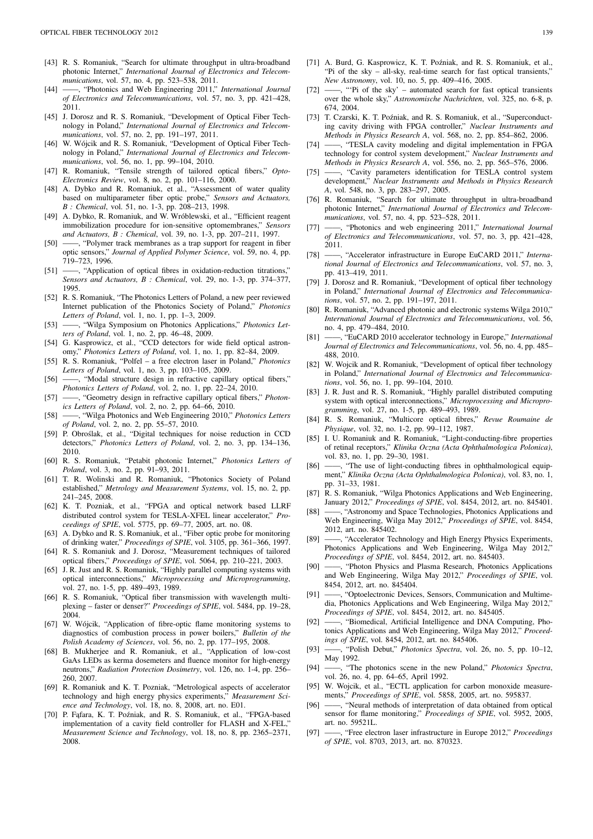- [43] R. S. Romaniuk, "Search for ultimate throughput in ultra-broadband photonic Internet," *International Journal of Electronics and Telecommunications*, vol. 57, no. 4, pp. 523–538, 2011.
- [44] ——, "Photonics and Web Engineering 2011," *International Journal of Electronics and Telecommunications*, vol. 57, no. 3, pp. 421–428, 2011.
- [45] J. Dorosz and R. S. Romaniuk, "Development of Optical Fiber Technology in Poland," *International Journal of Electronics and Telecommunications*, vol. 57, no. 2, pp. 191–197, 2011.
- [46] W. Wójcik and R. S. Romaniuk, "Development of Optical Fiber Technology in Poland," *International Journal of Electronics and Telecommunications*, vol. 56, no. 1, pp. 99–104, 2010.
- [47] R. Romaniuk, "Tensile strength of tailored optical fibers," *Opto-Electronics Review*, vol. 8, no. 2, pp. 101–116, 2000.
- [48] A. Dybko and R. Romaniuk, et al., "Assessment of water quality based on multiparameter fiber optic probe," *Sensors and Actuators, B : Chemical*, vol. 51, no. 1-3, pp. 208–213, 1998.
- [49] A. Dybko, R. Romaniuk, and W. Wróblewski, et al., "Efficient reagent immobilization procedure for ion-sensitive optomembranes," *Sensors and Actuators, B : Chemical*, vol. 39, no. 1-3, pp. 207–211, 1997.
- [50] ——, "Polymer track membranes as a trap support for reagent in fiber optic sensors," *Journal of Applied Polymer Science*, vol. 59, no. 4, pp. 719–723, 1996.
- [51] ——, "Application of optical fibres in oxidation-reduction titrations," *Sensors and Actuators, B : Chemical*, vol. 29, no. 1-3, pp. 374–377, 1995.
- [52] R. S. Romaniuk, "The Photonics Letters of Poland, a new peer reviewed Internet publication of the Photonics Society of Poland," *Photonics Letters of Poland*, vol. 1, no. 1, pp. 1–3, 2009.
- [53] ——, "Wilga Symposium on Photonics Applications," *Photonics Letters of Poland*, vol. 1, no. 2, pp. 46–48, 2009.
- [54] G. Kasprowicz, et al., "CCD detectors for wide field optical astronomy," *Photonics Letters of Poland*, vol. 1, no. 1, pp. 82–84, 2009.
- [55] R. S. Romaniuk, "Polfel a free electron laser in Poland," *Photonics Letters of Poland*, vol. 1, no. 3, pp. 103–105, 2009.
- [56] ——, "Modal structure design in refractive capillary optical fibers," *Photonics Letters of Poland*, vol. 2, no. 1, pp. 22–24, 2010.
- [57] ——, "Geometry design in refractive capillary optical fibers," *Photonics Letters of Poland*, vol. 2, no. 2, pp. 64–66, 2010.
- [58] ——, "Wilga Photonics and Web Engineering 2010," *Photonics Letters of Poland*, vol. 2, no. 2, pp. 55–57, 2010.
- [59] P. Obroślak, et al., "Digital techniques for noise reduction in CCD detectors," *Photonics Letters of Poland*, vol. 2, no. 3, pp. 134–136, 2010.
- [60] R. S. Romaniuk, "Petabit photonic Internet," *Photonics Letters of Poland*, vol. 3, no. 2, pp. 91–93, 2011.
- [61] T. R. Wolinski and R. Romaniuk, "Photonics Society of Poland established," *Metrology and Measurement Systems*, vol. 15, no. 2, pp. 241–245, 2008.
- [62] K. T. Pozniak, et al., "FPGA and optical network based LLRF distributed control system for TESLA-XFEL linear accelerator," *Proceedings of SPIE*, vol. 5775, pp. 69–77, 2005, art. no. 08.
- [63] A. Dybko and R. S. Romaniuk, et al., "Fiber optic probe for monitoring of drinking water," *Proceedings of SPIE*, vol. 3105, pp. 361–366, 1997.
- [64] R. S. Romaniuk and J. Dorosz, "Measurement techniques of tailored optical fibers," *Proceedings of SPIE*, vol. 5064, pp. 210–221, 2003.
- [65] J. R. Just and R. S. Romaniuk, "Highly parallel computing systems with optical interconnections," *Microprocessing and Microprogramming*, vol. 27, no. 1-5, pp. 489-493, 1989.
- [66] R. S. Romaniuk, "Optical fiber transmission with wavelength multiplexing – faster or denser?" *Proceedings of SPIE*, vol. 5484, pp. 19–28, 2004.
- [67] W. Wójcik, "Application of fibre-optic flame monitoring systems to diagnostics of combustion process in power boilers," *Bulletin of the Polish Academy of Sciences*, vol. 56, no. 2, pp. 177–195, 2008.
- [68] B. Mukherjee and R. Romaniuk, et al., "Application of low-cost GaAs LEDs as kerma dosemeters and fluence monitor for high-energy neutrons," *Radiation Protection Dosimetry*, vol. 126, no. 1-4, pp. 256– 260, 2007.
- [69] R. Romaniuk and K. T. Pozniak, "Metrological aspects of accelerator technology and high energy physics experiments," *Measurement Science and Technology*, vol. 18, no. 8, 2008, art. no. E01.
- [70] P. Fafara, K. T. Poźniak, and R. S. Romaniuk, et al., "FPGA-based implementation of a cavity field controller for FLASH and X-FEL," *Measurement Science and Technology*, vol. 18, no. 8, pp. 2365–2371, 2008.
- [71] A. Burd, G. Kasprowicz, K. T. Poźniak, and R. S. Romaniuk, et al., "Pi of the sky - all-sky, real-time search for fast optical transients," *New Astronomy*, vol. 10, no. 5, pp. 409–416, 2005.
- [72] ——, "Pi of the sky' automated search for fast optical transients over the whole sky," *Astronomische Nachrichten*, vol. 325, no. 6-8, p. 674, 2004.
- [73] T. Czarski, K. T. Poźniak, and R. S. Romaniuk, et al., "Superconducting cavity driving with FPGA controller," *Nuclear Instruments and Methods in Physics Research A*, vol. 568, no. 2, pp. 854–862, 2006.
- [74] ——, "TESLA cavity modeling and digital implementation in FPGA technology for control system development," *Nuclear Instruments and Methods in Physics Research A*, vol. 556, no. 2, pp. 565–576, 2006.
- [75] ——, "Cavity parameters identification for TESLA control system development," *Nuclear Instruments and Methods in Physics Research A*, vol. 548, no. 3, pp. 283–297, 2005.
- [76] R. Romaniuk, "Search for ultimate throughput in ultra-broadband photonic Internet," *International Journal of Electronics and Telecommunications*, vol. 57, no. 4, pp. 523–528, 2011.
- [77] ——, "Photonics and web engineering 2011," *International Journal of Electronics and Telecommunications*, vol. 57, no. 3, pp. 421–428, 2011.
- [78] ——, "Accelerator infrastructure in Europe EuCARD 2011," *International Journal of Electronics and Telecommunications*, vol. 57, no. 3, pp. 413–419, 2011.
- [79] J. Dorosz and R. Romaniuk, "Development of optical fiber technology in Poland," *International Journal of Electronics and Telecommunications*, vol. 57, no. 2, pp. 191–197, 2011.
- [80] R. Romaniuk, "Advanced photonic and electronic systems Wilga 2010," *International Journal of Electronics and Telecommunications*, vol. 56, no. 4, pp. 479–484, 2010.
- [81] ——, "EuCARD 2010 accelerator technology in Europe," *International Journal of Electronics and Telecommunications*, vol. 56, no. 4, pp. 485– 488, 2010.
- [82] W. Wojcik and R. Romaniuk, "Development of optical fiber technology in Poland," *International Journal of Electronics and Telecommunications*, vol. 56, no. 1, pp. 99–104, 2010.
- [83] J. R. Just and R. S. Romaniuk, "Highly parallel distributed computing system with optical interconnections," *Microprocessing and Microprogramming*, vol. 27, no. 1-5, pp. 489–493, 1989.
- [84] R. S. Romaniuk, "Multicore optical fibres," *Revue Roumaine de Physique*, vol. 32, no. 1-2, pp. 99–112, 1987.
- [85] I. U. Romaniuk and R. Romaniuk, "Light-conducting-fibre properties of retinal receptors," *Klinika Oczna (Acta Ophthalmologica Polonica)*, vol. 83, no. 1, pp. 29–30, 1981.
- [86] -, "The use of light-conducting fibres in ophthalmological equipment," *Klinika Oczna (Acta Ophthalmologica Polonica)*, vol. 83, no. 1, pp. 31–33, 1981.
- [87] R. S. Romaniuk, "Wilga Photonics Applications and Web Engineering, January 2012," *Proceedings of SPIE*, vol. 8454, 2012, art. no. 845401.
- -, "Astronomy and Space Technologies, Photonics Applications and Web Engineering, Wilga May 2012," *Proceedings of SPIE*, vol. 8454, 2012, art. no. 845402.
- [89] -, "Accelerator Technology and High Energy Physics Experiments, Photonics Applications and Web Engineering, Wilga May 2012," *Proceedings of SPIE*, vol. 8454, 2012, art. no. 845403.
- [90] ——, "Photon Physics and Plasma Research, Photonics Applications and Web Engineering, Wilga May 2012," *Proceedings of SPIE*, vol. 8454, 2012, art. no. 845404.
- [91] ——, "Optoelectronic Devices, Sensors, Communication and Multimedia, Photonics Applications and Web Engineering, Wilga May 2012," *Proceedings of SPIE*, vol. 8454, 2012, art. no. 845405.
- [92] ——, "Biomedical, Artificial Intelligence and DNA Computing, Photonics Applications and Web Engineering, Wilga May 2012," *Proceedings of SPIE*, vol. 8454, 2012, art. no. 845406.
- [93] ——, "Polish Debut," *Photonics Spectra*, vol. 26, no. 5, pp. 10–12, May 1992.
- [94] ——, "The photonics scene in the new Poland," *Photonics Spectra*, vol. 26, no. 4, pp. 64–65, April 1992.
- [95] W. Wojcik, et al., "ECTL application for carbon monoxide measurements," *Proceedings of SPIE*, vol. 5858, 2005, art. no. 595837.
- [96] ——, "Neural methods of interpretation of data obtained from optical sensor for flame monitoring," *Proceedings of SPIE*, vol. 5952, 2005, art. no. 59521L.
- [97] ——, "Free electron laser infrastructure in Europe 2012," *Proceedings of SPIE*, vol. 8703, 2013, art. no. 870323.